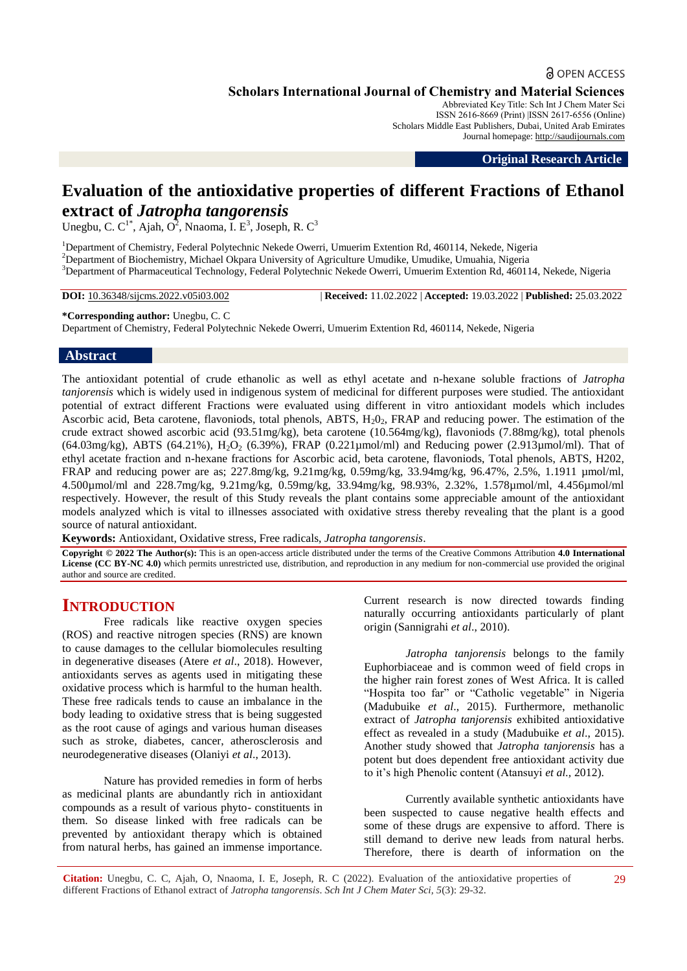## **a** OPEN ACCESS

**Scholars International Journal of Chemistry and Material Sciences**

Abbreviated Key Title: Sch Int J Chem Mater Sci ISSN 2616-8669 (Print) |ISSN 2617-6556 (Online) Scholars Middle East Publishers, Dubai, United Arab Emirates Journal homepage: [http://saudijournals.com](http://saudijournals.com/sijcms/)

**Original Research Article**

# **Evaluation of the antioxidative properties of different Fractions of Ethanol extract of** *Jatropha tangorensis*

Unegbu, C. C<sup>1\*</sup>, Ajah, O<sup>2</sup>, Nnaoma, I. E<sup>3</sup>, Joseph, R. C<sup>3</sup>

<sup>1</sup>Department of Chemistry, Federal Polytechnic Nekede Owerri, Umuerim Extention Rd, 460114, Nekede, Nigeria <sup>2</sup>Department of Biochemistry, Michael Okpara University of Agriculture Umudike, Umudike, Umuahia, Nigeria <sup>3</sup>Department of Pharmaceutical Technology, Federal Polytechnic Nekede Owerri, Umuerim Extention Rd, 460114, Nekede, Nigeria

**DOI:** 10.36348/sijcms.2022.v05i03.002 | **Received:** 11.02.2022 | **Accepted:** 19.03.2022 | **Published:** 25.03.2022

#### **\*Corresponding author:** Unegbu, C. C

Department of Chemistry, Federal Polytechnic Nekede Owerri, Umuerim Extention Rd, 460114, Nekede, Nigeria

#### **Abstract**

The antioxidant potential of crude ethanolic as well as ethyl acetate and n-hexane soluble fractions of *Jatropha tanjorensis* which is widely used in indigenous system of medicinal for different purposes were studied. The antioxidant potential of extract different Fractions were evaluated using different in vitro antioxidant models which includes Ascorbic acid, Beta carotene, flavoniods, total phenols, ABTS,  $H_2O_2$ , FRAP and reducing power. The estimation of the crude extract showed ascorbic acid (93.51mg/kg), beta carotene (10.564mg/kg), flavoniods (7.88mg/kg), total phenols (64.03mg/kg), ABTS (64.21%),  $H_2O_2$  (6.39%), FRAP (0.221µmol/ml) and Reducing power (2.913µmol/ml). That of ethyl acetate fraction and n-hexane fractions for Ascorbic acid, beta carotene, flavoniods, Total phenols, ABTS, H202, FRAP and reducing power are as; 227.8mg/kg, 9.21mg/kg, 0.59mg/kg, 33.94mg/kg, 96.47%, 2.5%, 1.1911 µmol/ml, 4.500µmol/ml and 228.7mg/kg, 9.21mg/kg, 0.59mg/kg, 33.94mg/kg, 98.93%, 2.32%, 1.578µmol/ml, 4.456µmol/ml respectively. However, the result of this Study reveals the plant contains some appreciable amount of the antioxidant models analyzed which is vital to illnesses associated with oxidative stress thereby revealing that the plant is a good source of natural antioxidant.

**Keywords:** Antioxidant, Oxidative stress, Free radicals, *Jatropha tangorensis*.

**Copyright © 2022 The Author(s):** This is an open-access article distributed under the terms of the Creative Commons Attribution **4.0 International License (CC BY-NC 4.0)** which permits unrestricted use, distribution, and reproduction in any medium for non-commercial use provided the original author and source are credited.

# **INTRODUCTION**

Free radicals like reactive oxygen species (ROS) and reactive nitrogen species (RNS) are known to cause damages to the cellular biomolecules resulting in degenerative diseases (Atere *et al*., 2018). However, antioxidants serves as agents used in mitigating these oxidative process which is harmful to the human health. These free radicals tends to cause an imbalance in the body leading to oxidative stress that is being suggested as the root cause of agings and various human diseases such as stroke, diabetes, cancer, atherosclerosis and neurodegenerative diseases (Olaniyi *et al*., 2013).

Nature has provided remedies in form of herbs as medicinal plants are abundantly rich in antioxidant compounds as a result of various phyto- constituents in them. So disease linked with free radicals can be prevented by antioxidant therapy which is obtained from natural herbs, has gained an immense importance.

Current research is now directed towards finding naturally occurring antioxidants particularly of plant origin (Sannigrahi *et al*., 2010).

*Jatropha tanjorensis* belongs to the family Euphorbiaceae and is common weed of field crops in the higher rain forest zones of West Africa. It is called "Hospita too far" or "Catholic vegetable" in Nigeria (Madubuike *et al*., 2015). Furthermore, methanolic extract of *Jatropha tanjorensis* exhibited antioxidative effect as revealed in a study (Madubuike *et al*., 2015). Another study showed that *Jatropha tanjorensis* has a potent but does dependent free antioxidant activity due to it's high Phenolic content (Atansuyi *et al.,* 2012).

Currently available synthetic antioxidants have been suspected to cause negative health effects and some of these drugs are expensive to afford. There is still demand to derive new leads from natural herbs. Therefore, there is dearth of information on the

**Citation:** Unegbu, C. C, Ajah, O, Nnaoma, I. E, Joseph, R. C (2022). Evaluation of the antioxidative properties of different Fractions of Ethanol extract of *Jatropha tangorensis*. *Sch Int J Chem Mater Sci, 5*(3): 29-32.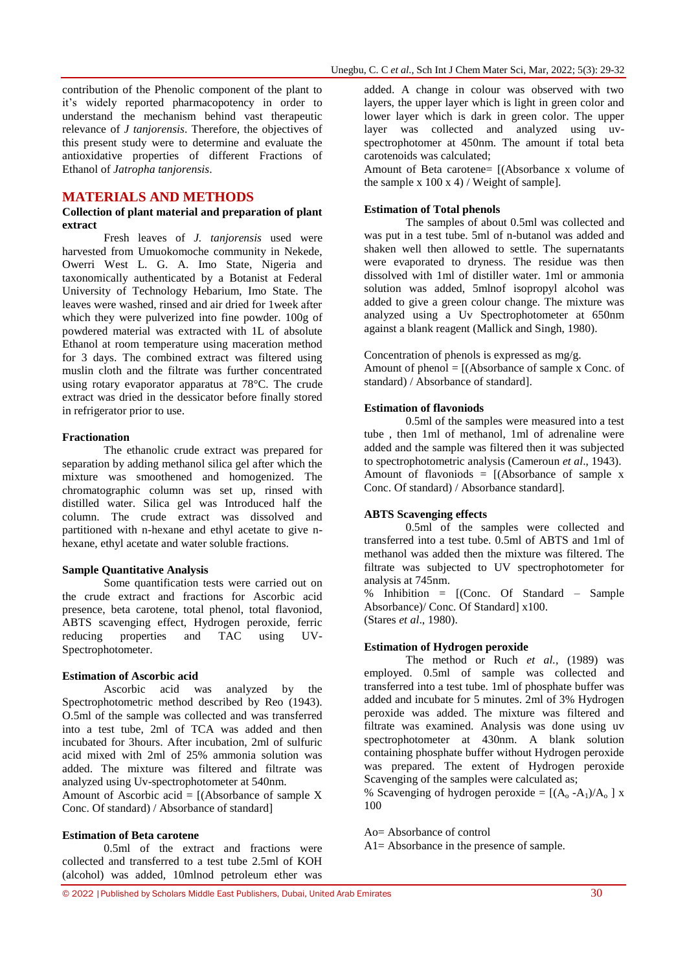contribution of the Phenolic component of the plant to it's widely reported pharmacopotency in order to understand the mechanism behind vast therapeutic relevance of *J tanjorensis*. Therefore, the objectives of this present study were to determine and evaluate the antioxidative properties of different Fractions of Ethanol of *Jatropha tanjorensis*.

#### **MATERIALS AND METHODS**

#### **Collection of plant material and preparation of plant extract**

Fresh leaves of *J. tanjorensis* used were harvested from Umuokomoche community in Nekede, Owerri West L. G. A. Imo State, Nigeria and taxonomically authenticated by a Botanist at Federal University of Technology Hebarium, Imo State. The leaves were washed, rinsed and air dried for 1week after which they were pulverized into fine powder. 100g of powdered material was extracted with 1L of absolute Ethanol at room temperature using maceration method for 3 days. The combined extract was filtered using muslin cloth and the filtrate was further concentrated using rotary evaporator apparatus at 78°C. The crude extract was dried in the dessicator before finally stored in refrigerator prior to use.

#### **Fractionation**

The ethanolic crude extract was prepared for separation by adding methanol silica gel after which the mixture was smoothened and homogenized. The chromatographic column was set up, rinsed with distilled water. Silica gel was Introduced half the column. The crude extract was dissolved and partitioned with n-hexane and ethyl acetate to give nhexane, ethyl acetate and water soluble fractions.

#### **Sample Quantitative Analysis**

Some quantification tests were carried out on the crude extract and fractions for Ascorbic acid presence, beta carotene, total phenol, total flavoniod, ABTS scavenging effect, Hydrogen peroxide, ferric reducing properties and TAC using UV-Spectrophotometer.

#### **Estimation of Ascorbic acid**

Ascorbic acid was analyzed by the Spectrophotometric method described by Reo (1943). O.5ml of the sample was collected and was transferred into a test tube, 2ml of TCA was added and then incubated for 3hours. After incubation, 2ml of sulfuric acid mixed with 2ml of 25% ammonia solution was added. The mixture was filtered and filtrate was analyzed using Uv-spectrophotometer at 540nm. Amount of Ascorbic acid  $=$  [(Absorbance of sample X Conc. Of standard) / Absorbance of standard]

**Estimation of Beta carotene**

0.5ml of the extract and fractions were collected and transferred to a test tube 2.5ml of KOH (alcohol) was added, 10mlnod petroleum ether was

added. A change in colour was observed with two layers, the upper layer which is light in green color and lower layer which is dark in green color. The upper layer was collected and analyzed using uvspectrophotomer at 450nm. The amount if total beta carotenoids was calculated;

Amount of Beta carotene= [(Absorbance x volume of the sample x  $100 x 4$  / Weight of sample].

#### **Estimation of Total phenols**

The samples of about 0.5ml was collected and was put in a test tube. 5ml of n-butanol was added and shaken well then allowed to settle. The supernatants were evaporated to dryness. The residue was then dissolved with 1ml of distiller water. 1ml or ammonia solution was added, 5mlnof isopropyl alcohol was added to give a green colour change. The mixture was analyzed using a Uv Spectrophotometer at 650nm against a blank reagent (Mallick and Singh, 1980).

Concentration of phenols is expressed as mg/g. Amount of phenol  $=$  [(Absorbance of sample x Conc. of

standard) / Absorbance of standard].

#### **Estimation of flavoniods**

0.5ml of the samples were measured into a test tube , then 1ml of methanol, 1ml of adrenaline were added and the sample was filtered then it was subjected to spectrophotometric analysis (Cameroun *et al*., 1943). Amount of flavoniods =  $[(\text{Absorbane of sample x})]$ Conc. Of standard) / Absorbance standard].

#### **ABTS Scavenging effects**

0.5ml of the samples were collected and transferred into a test tube. 0.5ml of ABTS and 1ml of methanol was added then the mixture was filtered. The filtrate was subjected to UV spectrophotometer for analysis at 745nm.

% Inhibition = [(Conc. Of Standard – Sample Absorbance)/ Conc. Of Standard] x100. (Stares *et al*., 1980).

#### **Estimation of Hydrogen peroxide**

The method or Ruch *et al.,* (1989) was employed. 0.5ml of sample was collected and transferred into a test tube. 1ml of phosphate buffer was added and incubate for 5 minutes. 2ml of 3% Hydrogen peroxide was added. The mixture was filtered and filtrate was examined. Analysis was done using uv spectrophotometer at 430nm. A blank solution containing phosphate buffer without Hydrogen peroxide was prepared. The extent of Hydrogen peroxide Scavenging of the samples were calculated as;

% Scavenging of hydrogen peroxide =  $[(A_0 - A_1)/A_0]$  x 100

Ao= Absorbance of control

A1= Absorbance in the presence of sample.

© 2022 |Published by Scholars Middle East Publishers, Dubai, United Arab Emirates 30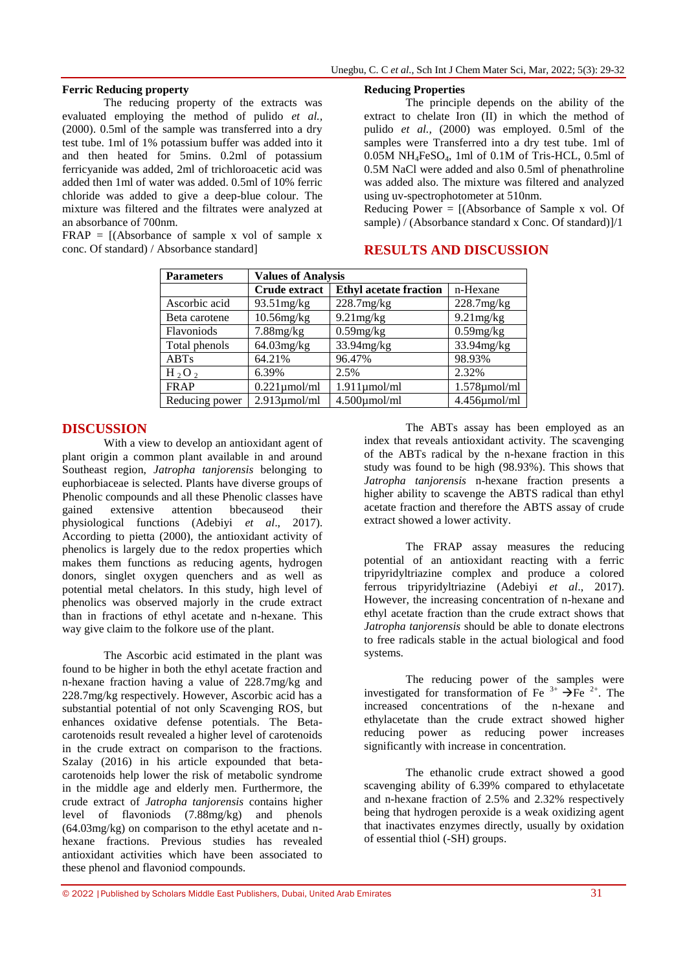#### **Ferric Reducing property**

The reducing property of the extracts was evaluated employing the method of pulido *et al.,* (2000). 0.5ml of the sample was transferred into a dry test tube. 1ml of 1% potassium buffer was added into it and then heated for 5mins. 0.2ml of potassium ferricyanide was added, 2ml of trichloroacetic acid was added then 1ml of water was added. 0.5ml of 10% ferric chloride was added to give a deep-blue colour. The mixture was filtered and the filtrates were analyzed at an absorbance of 700nm.

 $FRAP = [(Absorbane of sample x vol of sample x]$ conc. Of standard) / Absorbance standard]

#### **Reducing Properties**

The principle depends on the ability of the extract to chelate Iron (II) in which the method of pulido *et al.,* (2000) was employed. 0.5ml of the samples were Transferred into a dry test tube. 1ml of 0.05M NH4FeSO4, 1ml of 0.1M of Tris-HCL, 0.5ml of 0.5M NaCl were added and also 0.5ml of phenathroline was added also. The mixture was filtered and analyzed using uv-spectrophotometer at 510nm.

Reducing  $\overrightarrow{Power} = [(Absorbane\ of\ Sample\ x\ vol. \ Of\ ]$ sample) / (Absorbance standard x Conc. Of standard)]/1

## **RESULTS AND DISCUSSION**

| <b>Parameters</b> | <b>Values of Analysis</b> |                               |                    |
|-------------------|---------------------------|-------------------------------|--------------------|
|                   | Crude extract             | <b>Ethyl acetate fraction</b> | n-Hexane           |
| Ascorbic acid     | $93.51$ mg/kg             | $228.7$ mg/kg                 | 228.7mg/kg         |
| Beta carotene     | $10.56$ mg/kg             | $9.21$ mg/kg                  | $9.21$ mg/kg       |
| Flavoniods        | $7.88$ mg/ $kg$           | $0.59$ mg/kg                  | $0.59$ mg/kg       |
| Total phenols     | 64.03mg/kg                | $33.94$ mg/kg                 | $33.94$ mg/kg      |
| ABTs              | 64.21%                    | 96.47%                        | 98.93%             |
| $H_2O_2$          | 6.39%                     | 2.5%                          | 2.32%              |
| <b>FRAP</b>       | $0.221 \mu$ mol/ml        | $1.911 \mu$ mol/ml            | $1.578 \mu$ mol/ml |
| Reducing power    | $2.913 \mu$ mol/ml        | $4.500 \mu$ mol/ml            | 4.456µmol/ml       |

#### **DISCUSSION**

With a view to develop an antioxidant agent of plant origin a common plant available in and around Southeast region, *Jatropha tanjorensis* belonging to euphorbiaceae is selected. Plants have diverse groups of Phenolic compounds and all these Phenolic classes have gained extensive attention bbecauseod their physiological functions (Adebiyi *et al*., 2017). According to pietta (2000), the antioxidant activity of phenolics is largely due to the redox properties which makes them functions as reducing agents, hydrogen donors, singlet oxygen quenchers and as well as potential metal chelators. In this study, high level of phenolics was observed majorly in the crude extract than in fractions of ethyl acetate and n-hexane. This way give claim to the folkore use of the plant.

The Ascorbic acid estimated in the plant was found to be higher in both the ethyl acetate fraction and n-hexane fraction having a value of 228.7mg/kg and 228.7mg/kg respectively. However, Ascorbic acid has a substantial potential of not only Scavenging ROS, but enhances oxidative defense potentials. The Betacarotenoids result revealed a higher level of carotenoids in the crude extract on comparison to the fractions. Szalay (2016) in his article expounded that betacarotenoids help lower the risk of metabolic syndrome in the middle age and elderly men. Furthermore, the crude extract of *Jatropha tanjorensis* contains higher level of flavoniods (7.88mg/kg) and phenols (64.03mg/kg) on comparison to the ethyl acetate and nhexane fractions. Previous studies has revealed antioxidant activities which have been associated to these phenol and flavoniod compounds.

© 2022 |Published by Scholars Middle East Publishers, Dubai, United Arab Emirates 31

The ABTs assay has been employed as an index that reveals antioxidant activity. The scavenging of the ABTs radical by the n-hexane fraction in this study was found to be high (98.93%). This shows that *Jatropha tanjorensis* n-hexane fraction presents a higher ability to scavenge the ABTS radical than ethyl acetate fraction and therefore the ABTS assay of crude extract showed a lower activity.

The FRAP assay measures the reducing potential of an antioxidant reacting with a ferric tripyridyltriazine complex and produce a colored ferrous tripyridyltriazine (Adebiyi *et al*., 2017). However, the increasing concentration of n-hexane and ethyl acetate fraction than the crude extract shows that *Jatropha tanjorensis* should be able to donate electrons to free radicals stable in the actual biological and food systems.

The reducing power of the samples were investigated for transformation of Fe  $3^+$   $\rightarrow$  Fe  $2^+$ . The increased concentrations of the n-hexane and ethylacetate than the crude extract showed higher reducing power as reducing power increases significantly with increase in concentration.

The ethanolic crude extract showed a good scavenging ability of 6.39% compared to ethylacetate and n-hexane fraction of 2.5% and 2.32% respectively being that hydrogen peroxide is a weak oxidizing agent that inactivates enzymes directly, usually by oxidation of essential thiol (-SH) groups.